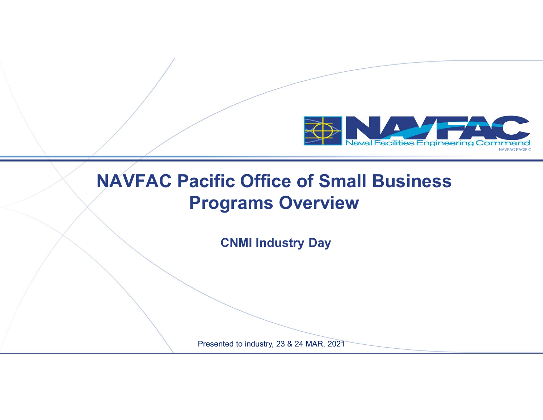

#### **NAVFAC Pacific Office of Small Business Programs Overview**

**CNMI Industry Day**

Presented to industry, 23 & 24 MAR, 2021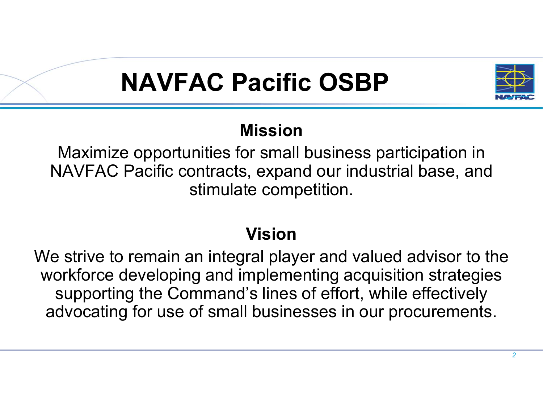# **NAVFAC Pacific OSBP**



#### **Mission**

 Maximize opportunities for small business participation in NAVFAC Pacific contracts, expand our industrial base, and stimulate competition.

#### **Vision**

 We strive to remain an integral player and valued advisor to the workforce developing and implementing acquisition strategies supporting the Command's lines of effort, while effectively advocating for use of small businesses in our procurements.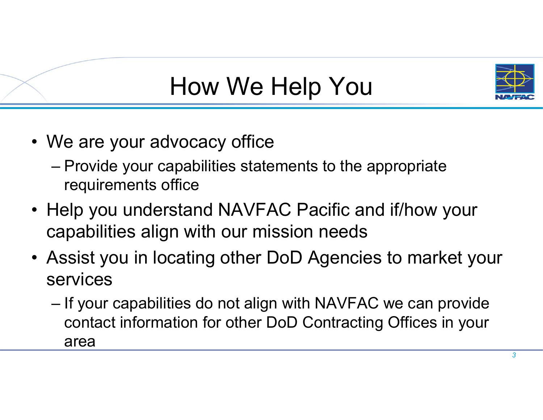

# How We Help You

- We are your advocacy office
	- **Little Committee** Provide your capabilities statements to the appropriate requirements office
- Help you understand NAVFAC Pacific and if/how your capabilities align with our mission needs
- Assist you in locating other DoD Agencies to market your services
	- **Little Committee** If your capabilities do not align with NAVFAC we can provide<br>context information for other DeD Contracting Offices in your contact information for other DoD Contracting Offices in your area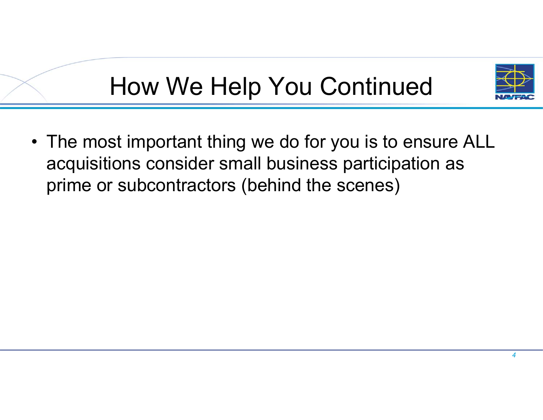

# How We Help You Continued

• The most important thing we do for you is to ensure ALL acquisitions consider small business participation as prime or subcontractors (behind the scenes)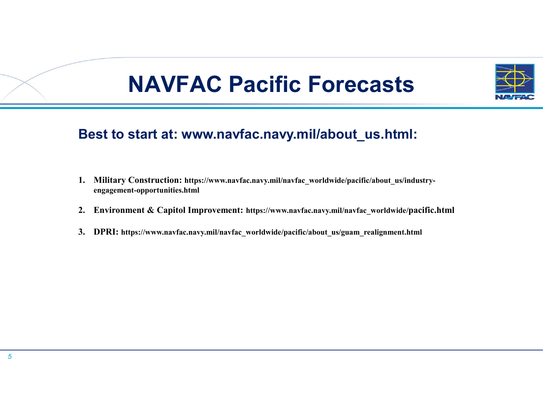## **NAVFAC Pacific Forecasts**



#### **Best to start at: www.navfac.navy.mil/about\_us.html:**

- **1. Military Construction: https://www.navfac.navy.mil/navfac\_worldwide/pacific/about\_us/industryengagement-opportunities.html**
- **2. Environment & Capitol Improvement: https://www.navfac.navy.mil/navfac\_worldwide/pacific.html**
- **3. DPRI: https://www.navfac.navy.mil/navfac\_worldwide/pacific/about\_us/guam\_realignment.html**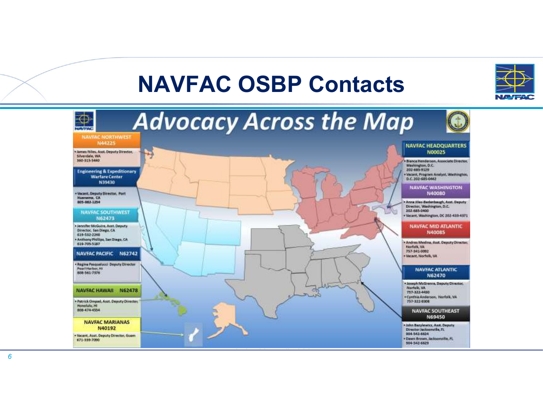### **NAVFAC OSBP Contacts**